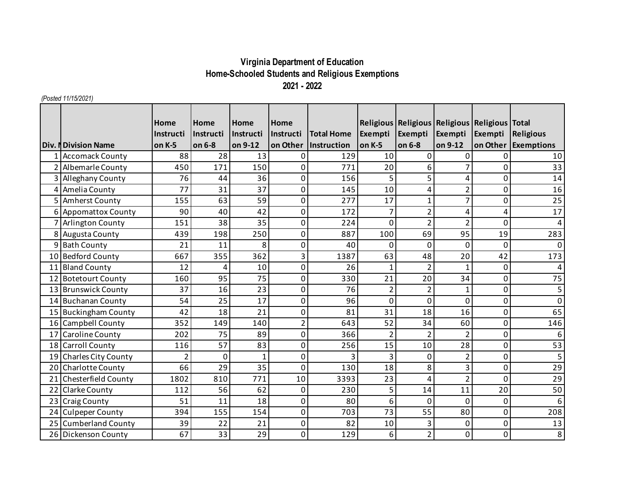## **Virginia Department of Education Home-Schooled Students and Religious Exemptions 2021 - 2022**

*(Posted 11/15/2021)*

|                 |                            | Home          | Home      | <b>Home</b>  | Home           |                   |                | Religious   Religious   Religious   Religious   Total |                |                  |                     |
|-----------------|----------------------------|---------------|-----------|--------------|----------------|-------------------|----------------|-------------------------------------------------------|----------------|------------------|---------------------|
|                 |                            | Instructi     | Instructi | Instructi    | Instructi      | <b>Total Home</b> | Exempti        | Exempti                                               | Exempti        | Exempti          | Religious           |
|                 | <b>Div. NDivision Name</b> | on K-5        | on 6-8    | on 9-12      | on Other       | Instruction       | on K-5         | on 6-8                                                | on 9-12        |                  | on Other Exemptions |
|                 | 1 Accomack County          | 88            | 28        | 13           | 0              | 129               | 10             | 0                                                     | $\mathbf 0$    | 0                | 10                  |
|                 | 2 Albemarle County         | 450           | 171       | 150          | 0              | 771               | 20             | 6                                                     |                | 0                | 33                  |
|                 | 3 Alleghany County         | 76            | 44        | 36           | 0              | 156               | 5              | 5                                                     | 4              | 0                | 14                  |
|                 | 4 Amelia County            | 77            | 31        | 37           | 0              | 145               | 10             | 4                                                     | $\overline{2}$ | 0                | 16                  |
|                 | 5 Amherst County           | 155           | 63        | 59           | 0              | 277               | 17             | $\mathbf{1}$                                          | 7              | 0                | 25                  |
|                 | 6 Appomattox County        | 90            | 40        | 42           | 0              | 172               | 7              | $\overline{2}$                                        | 4              | 4                | 17                  |
|                 | 7 Arlington County         | 151           | 38        | 35           | 0              | 224               | 0              | $\overline{2}$                                        | $\overline{2}$ | 0                | 4                   |
|                 | 8 Augusta County           | 439           | 198       | 250          | 0              | 887               | 100            | 69                                                    | 95             | 19               | 283                 |
|                 | 9 Bath County              | 21            | 11        | 8            | 0              | 40                | $\Omega$       | $\mathbf 0$                                           | 0              | 0                | $\Omega$            |
|                 | 10 Bedford County          | 667           | 355       | 362          | 3              | 1387              | 63             | 48                                                    | 20             | 42               | 173                 |
|                 | 11 Bland County            | 12            | 4         | 10           | 0              | 26                | $\mathbf{1}$   | $\overline{2}$                                        | $\mathbf{1}$   | 0                | 4                   |
|                 | 12 Botetourt County        | 160           | 95        | 75           | 0              | 330               | 21             | 20                                                    | 34             | 0                | 75                  |
|                 | 13 Brunswick County        | 37            | 16        | 23           | 0              | 76                | $\overline{2}$ | $\overline{2}$                                        | $\mathbf 1$    | 0                | 5                   |
|                 | 14 Buchanan County         | 54            | 25        | 17           | 0              | 96                | 0              | 0                                                     | 0              | 0                | $\Omega$            |
|                 | 15 Buckingham County       | 42            | 18        | 21           | 0              | 81                | 31             | 18                                                    | 16             | 0                | 65                  |
|                 | 16 Campbell County         | 352           | 149       | 140          | $\overline{2}$ | 643               | 52             | 34                                                    | 60             | $\boldsymbol{0}$ | 146                 |
| 17 <sup>1</sup> | <b>Caroline County</b>     | 202           | 75        | 89           | 0              | 366               | $\overline{2}$ | $\overline{2}$                                        | $\overline{2}$ | 0                | 6                   |
|                 | 18 Carroll County          | 116           | 57        | 83           | 0              | 256               | 15             | 10                                                    | 28             | 0                | 53                  |
|                 | 19 Charles City County     | $\mathcal{P}$ | 0         | $\mathbf{1}$ | 0              | 3                 | 3              | $\mathbf 0$                                           | $\overline{2}$ | 0                | 5                   |
|                 | 20 Charlotte County        | 66            | 29        | 35           | 0              | 130               | 18             | 8                                                     | 3              | $\mathbf 0$      | $\overline{29}$     |
|                 | Chesterfield County        | 1802          | 810       | 771          | 10             | 3393              | 23             | 4                                                     | $\overline{2}$ | $\overline{0}$   | 29                  |
|                 | 22 Clarke County           | 112           | 56        | 62           | 0              | 230               | 5              | 14                                                    | 11             | 20               | $\overline{50}$     |
| 23              | <b>Craig County</b>        | 51            | 11        | 18           | 0              | 80                | 6              | 0                                                     | 0              | 0                | 6                   |
|                 | 24 Culpeper County         | 394           | 155       | 154          | 0              | 703               | 73             | 55                                                    | 80             | 0                | 208                 |
|                 | 25 Cumberland County       | 39            | 22        | 21           | 0              | 82                | 10             | 3                                                     | 0              | 0                | 13                  |
|                 | 26 Dickenson County        | 67            | 33        | 29           | 0              | 129               | 6              | $\overline{2}$                                        | 0              | 0                | 8                   |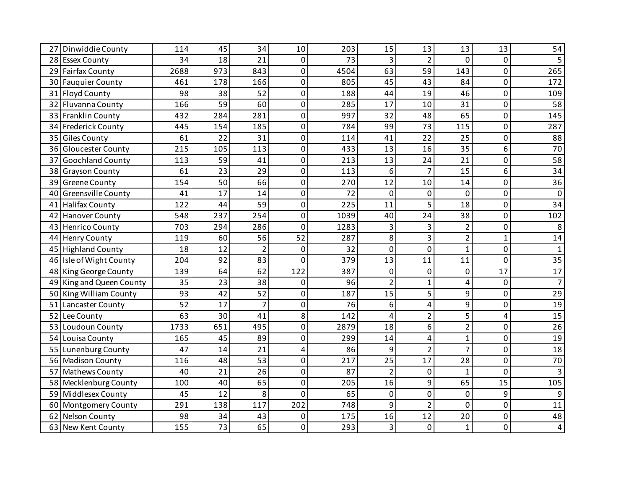| Dinwiddie County<br>27   | 114  | 45  | 34  | 10             | 203  | 15             | 13             | 13             | 13           | 54              |
|--------------------------|------|-----|-----|----------------|------|----------------|----------------|----------------|--------------|-----------------|
| 28 Essex County          | 34   | 18  | 21  | 0              | 73   | 3              | $\overline{2}$ | $\Omega$       | 0            | 5               |
| 29 Fairfax County        | 2688 | 973 | 843 | 0              | 4504 | 63             | 59             | 143            | 0            | 265             |
| 30 Fauquier County       | 461  | 178 | 166 | 0              | 805  | 45             | 43             | 84             | 0            | 172             |
| 31 Floyd County          | 98   | 38  | 52  | $\overline{0}$ | 188  | 44             | 19             | 46             | 0            | 109             |
| 32 Fluvanna County       | 166  | 59  | 60  | 0              | 285  | 17             | 10             | 31             | 0            | 58              |
| 33 Franklin County       | 432  | 284 | 281 | 0              | 997  | 32             | 48             | 65             | 0            | 145             |
| 34 Frederick County      | 445  | 154 | 185 | 0              | 784  | 99             | 73             | 115            | 0            | 287             |
| 35 Giles County          | 61   | 22  | 31  | 0              | 114  | 41             | 22             | 25             | 0            | 88              |
| Gloucester County<br>36  | 215  | 105 | 113 | 0              | 433  | 13             | 16             | 35             | 6            | $\overline{70}$ |
| 37 Goochland County      | 113  | 59  | 41  | 0              | 213  | 13             | 24             | 21             | 0            | $\overline{58}$ |
| 38 Grayson County        | 61   | 23  | 29  | 0              | 113  | 6              | $\overline{7}$ | 15             | 6            | 34              |
| 39 Greene County         | 154  | 50  | 66  | $\overline{0}$ | 270  | 12             | 10             | 14             | 0            | 36              |
| 40 Greensville County    | 41   | 17  | 14  | 0              | 72   | 0              | 0              | 0              | 0            | $\mathbf{0}$    |
| 41 Halifax County        | 122  | 44  | 59  | 0              | 225  | 11             | 5              | 18             | 0            | $\overline{34}$ |
| 42 Hanover County        | 548  | 237 | 254 | 0              | 1039 | 40             | 24             | 38             | 0            | 102             |
| 43 Henrico County        | 703  | 294 | 286 | $\overline{0}$ | 1283 | 3              | 3              | $\overline{2}$ | 0            | 8               |
| 44 Henry County          | 119  | 60  | 56  | 52             | 287  | 8              | 3              | $\overline{2}$ | $\mathbf{1}$ | 14              |
| 45 Highland County       | 18   | 12  |     | 0              | 32   | $\Omega$       | $\pmb{0}$      | $\mathbf{1}$   | 0            |                 |
| 46 Isle of Wight County  | 204  | 92  | 83  | 0              | 379  | 13             | 11             | 11             | 0            | 35              |
| 48 King George County    | 139  | 64  | 62  | 122            | 387  | 0              | $\mathbf 0$    | 0              | 17           | 17              |
| 49 King and Queen County | 35   | 23  | 38  | 0              | 96   | 2              | $\mathbf{1}$   | 4              | 0            |                 |
| 50 King William County   | 93   | 42  | 52  | 0              | 187  | 15             | 5              | 9              | 0            | $\overline{29}$ |
| 51 Lancaster County      | 52   | 17  | 7   | 0              | 76   | 6              | 4              | 9              | 0            | 19              |
| Lee County<br>52         | 63   | 30  | 41  | 8              | 142  | 4              | $\overline{2}$ | 5              | 4            | $\overline{15}$ |
| 53 Loudoun County        | 1733 | 651 | 495 | 0              | 2879 | 18             | 6              | $\overline{2}$ | 0            | 26              |
| 54 Louisa County         | 165  | 45  | 89  | 0              | 299  | 14             | 4              | $\mathbf{1}$   | 0            | 19              |
| 55 Lunenburg County      | 47   | 14  | 21  | 4              | 86   | 9              | $\overline{2}$ | $\overline{7}$ | 0            | 18              |
| 56 Madison County        | 116  | 48  | 53  | 0              | 217  | 25             | 17             | 28             | 0            | 70              |
| 57 Mathews County        | 40   | 21  | 26  | 0              | 87   | $\overline{2}$ | $\mathbf 0$    | 1              | 0            |                 |
| 58 Mecklenburg County    | 100  | 40  | 65  | 0              | 205  | 16             | 9              | 65             | 15           | 105             |
| 59 Middlesex County      | 45   | 12  | 8   | 0              | 65   | 0              | $\mathbf 0$    | $\mathbf 0$    | 9            | 9               |
| 60 Montgomery County     | 291  | 138 | 117 | 202            | 748  | 9              | $\overline{2}$ | 0              | 0            | 11              |
| 62 Nelson County         | 98   | 34  | 43  | 0              | 175  | 16             | 12             | 20             | 0            | 48              |
| 63 New Kent County       | 155  | 73  | 65  | 0              | 293  | 3              | $\mathbf 0$    | $\mathbf{1}$   | 0            | 4               |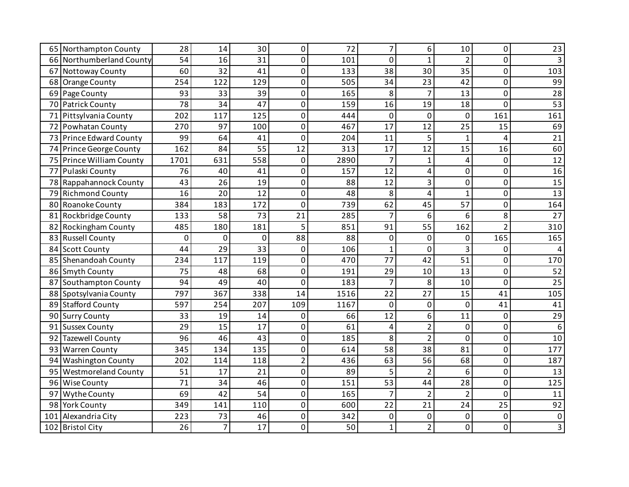| 65 Northampton County    | 28           | 14             | 30              | 0              | 72   | 7               | 6              | 10             | 0              | 23  |
|--------------------------|--------------|----------------|-----------------|----------------|------|-----------------|----------------|----------------|----------------|-----|
| 66 Northumberland County | 54           | 16             | 31              | 0              | 101  | $\Omega$        | $\mathbf{1}$   | $\overline{2}$ | 0              |     |
| 67 Nottoway County       | 60           | 32             | 41              | 0              | 133  | 38              | 30             | 35             | 0              | 103 |
| 68 Orange County         | 254          | 122            | 129             | 0              | 505  | 34              | 23             | 42             | 0              | 99  |
| 69 Page County           | 93           | 33             | 39              | 0              | 165  | 8               | $\overline{7}$ | 13             | 0              | 28  |
| 70 Patrick County        | 78           | 34             | 47              | 0              | 159  | 16              | 19             | 18             | $\overline{0}$ | 53  |
| 71 Pittsylvania County   | 202          | 117            | 125             | 0              | 444  | 0               | 0              | 0              | 161            | 161 |
| 72 Powhatan County       | 270          | 97             | 100             | $\mathbf 0$    | 467  | 17              | 12             | 25             | 15             | 69  |
| 73 Prince Edward County  | 99           | 64             | 41              | 0              | 204  | 11              | 5              | 1              | 4              | 21  |
| 74 Prince George County  | 162          | 84             | $\overline{55}$ | 12             | 313  | 17              | 12             | 15             | 16             | 60  |
| 75 Prince William County | 1701         | 631            | 558             | $\mathbf 0$    | 2890 | $\overline{7}$  | $\mathbf{1}$   | 4              | 0              | 12  |
| 77 Pulaski County        | 76           | 40             | 41              | 0              | 157  | 12              | 4              | 0              | 0              | 16  |
| 78 Rappahannock County   | 43           | 26             | 19              | 0              | 88   | 12              | 3              | $\overline{0}$ | $\overline{0}$ | 15  |
| 79 Richmond County       | 16           | 20             | 12              | 0              | 48   | 8               | 4              | $\mathbf{1}$   | 0              | 13  |
| 80 Roanoke County        | 384          | 183            | 172             | $\mathbf 0$    | 739  | 62              | 45             | 57             | 0              | 164 |
| 81 Rockbridge County     | 133          | 58             | 73              | 21             | 285  | 7               | 6              | 6              | 8              | 27  |
| 82 Rockingham County     | 485          | 180            | 181             | 5              | 851  | 91              | 55             | 162            | $\overline{2}$ | 310 |
| 83 Russell County        | $\mathbf{0}$ | 0              | $\Omega$        | 88             | 88   | 0               | $\Omega$       | 0              | 165            | 165 |
| 84 Scott County          | 44           | 29             | 33              | $\mathbf 0$    | 106  | 1               | $\mathbf 0$    | 3              | $\Omega$       |     |
| 85 Shenandoah County     | 234          | 117            | 119             | $\mathbf 0$    | 470  | 77              | 42             | 51             | 0              | 170 |
| 86 Smyth County          | 75           | 48             | 68              | 0              | 191  | 29              | 10             | 13             | $\overline{0}$ | 52  |
| 87 Southampton County    | 94           | 49             | 40              | 0              | 183  | 7               | 8              | 10             | 0              | 25  |
| 88 Spotsylvania County   | 797          | 367            | 338             | 14             | 1516 | 22              | 27             | 15             | 41             | 105 |
| 89 Stafford County       | 597          | 254            | 207             | 109            | 1167 | $\mathbf 0$     | 0              | $\mathbf 0$    | 41             | 41  |
| 90 Surry County          | 33           | 19             | 14              | 0              | 66   | 12              | 6              | 11             | 0              | 29  |
| 91 Sussex County         | 29           | 15             | 17              | 0              | 61   | 4               | $\overline{2}$ | 0              | 0              | 6   |
| 92 Tazewell County       | 96           | 46             | 43              | 0              | 185  | 8               | $\overline{2}$ | 0              | 0              | 10  |
| 93 Warren County         | 345          | 134            | 135             | 0              | 614  | 58              | 38             | 81             | $\overline{0}$ | 177 |
| 94 Washington County     | 202          | 114            | 118             | $\overline{2}$ | 436  | 63              | 56             | 68             | $\overline{0}$ | 187 |
| 95 Westmoreland County   | 51           | 17             | 21              | $\mathbf 0$    | 89   | 5               | $\overline{2}$ | 6              | 0              | 13  |
| 96 Wise County           | 71           | 34             | 46              | 0              | 151  | $\overline{53}$ | 44             | 28             | 0              | 125 |
| 97 Wythe County          | 69           | 42             | 54              | 0              | 165  | $\overline{7}$  | $\overline{2}$ | $\overline{2}$ | 0              | 11  |
| 98 York County           | 349          | 141            | 110             | 0              | 600  | 22              | 21             | 24             | 25             | 92  |
| 101 Alexandria City      | 223          | 73             | 46              | 0              | 342  | 0               | $\mathbf 0$    | $\mathbf 0$    | 0              | 0   |
| 102 Bristol City         | 26           | $\overline{7}$ | 17              | 0              | 50   | $\mathbf{1}$    | $\overline{2}$ | 0              | 0              |     |